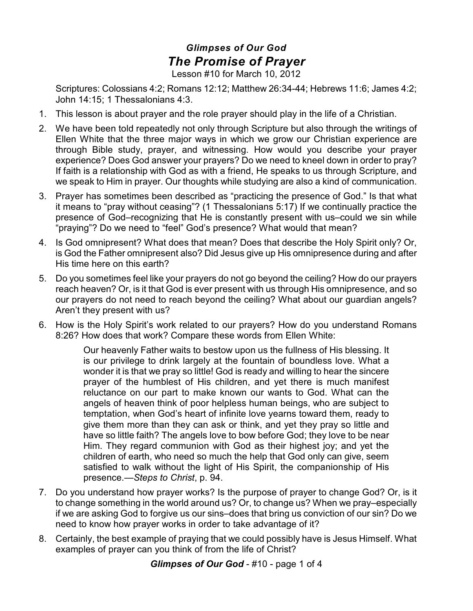## *Glimpses of Our God The Promise of Prayer*

Lesson #10 for March 10, 2012

Scriptures: Colossians 4:2; Romans 12:12; Matthew 26:34-44; Hebrews 11:6; James 4:2; John 14:15; 1 Thessalonians 4:3.

- 1. This lesson is about prayer and the role prayer should play in the life of a Christian.
- 2. We have been told repeatedly not only through Scripture but also through the writings of Ellen White that the three major ways in which we grow our Christian experience are through Bible study, prayer, and witnessing. How would you describe your prayer experience? Does God answer your prayers? Do we need to kneel down in order to pray? If faith is a relationship with God as with a friend, He speaks to us through Scripture, and we speak to Him in prayer. Our thoughts while studying are also a kind of communication.
- 3. Prayer has sometimes been described as "practicing the presence of God." Is that what it means to "pray without ceasing"? (1 Thessalonians 5:17) If we continually practice the presence of God–recognizing that He is constantly present with us–could we sin while "praying"? Do we need to "feel" God's presence? What would that mean?
- 4. Is God omnipresent? What does that mean? Does that describe the Holy Spirit only? Or, is God the Father omnipresent also? Did Jesus give up His omnipresence during and after His time here on this earth?
- 5. Do you sometimes feel like your prayers do not go beyond the ceiling? How do our prayers reach heaven? Or, is it that God is ever present with us through His omnipresence, and so our prayers do not need to reach beyond the ceiling? What about our guardian angels? Aren't they present with us?
- 6. How is the Holy Spirit's work related to our prayers? How do you understand Romans 8:26? How does that work? Compare these words from Ellen White:

Our heavenly Father waits to bestow upon us the fullness of His blessing. It is our privilege to drink largely at the fountain of boundless love. What a wonder it is that we pray so little! God is ready and willing to hear the sincere prayer of the humblest of His children, and yet there is much manifest reluctance on our part to make known our wants to God. What can the angels of heaven think of poor helpless human beings, who are subject to temptation, when God's heart of infinite love yearns toward them, ready to give them more than they can ask or think, and yet they pray so little and have so little faith? The angels love to bow before God; they love to be near Him. They regard communion with God as their highest joy; and yet the children of earth, who need so much the help that God only can give, seem satisfied to walk without the light of His Spirit, the companionship of His presence.—*Steps to Christ*, p. 94.

- 7. Do you understand how prayer works? Is the purpose of prayer to change God? Or, is it to change something in the world around us? Or, to change us? When we pray–especially if we are asking God to forgive us our sins–does that bring us conviction of our sin? Do we need to know how prayer works in order to take advantage of it?
- 8. Certainly, the best example of praying that we could possibly have is Jesus Himself. What examples of prayer can you think of from the life of Christ?

*Glimpses of Our God* - #10 - page 1 of 4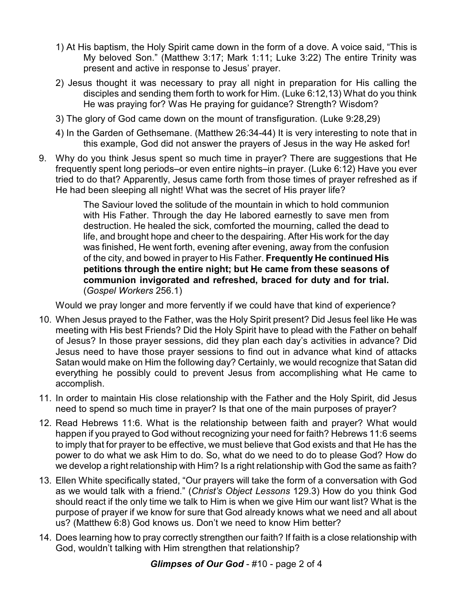- 1) At His baptism, the Holy Spirit came down in the form of a dove. A voice said, "This is My beloved Son." (Matthew 3:17; Mark 1:11; Luke 3:22) The entire Trinity was present and active in response to Jesus' prayer.
- 2) Jesus thought it was necessary to pray all night in preparation for His calling the disciples and sending them forth to work for Him. (Luke 6:12,13) What do you think He was praying for? Was He praying for guidance? Strength? Wisdom?
- 3) The glory of God came down on the mount of transfiguration. (Luke 9:28,29)
- 4) In the Garden of Gethsemane. (Matthew 26:34-44) It is very interesting to note that in this example, God did not answer the prayers of Jesus in the way He asked for!
- 9. Why do you think Jesus spent so much time in prayer? There are suggestions that He frequently spent long periods–or even entire nights–in prayer. (Luke 6:12) Have you ever tried to do that? Apparently, Jesus came forth from those times of prayer refreshed as if He had been sleeping all night! What was the secret of His prayer life?

The Saviour loved the solitude of the mountain in which to hold communion with His Father. Through the day He labored earnestly to save men from destruction. He healed the sick, comforted the mourning, called the dead to life, and brought hope and cheer to the despairing. After His work for the day was finished, He went forth, evening after evening, away from the confusion of the city, and bowed in prayer to His Father. **Frequently He continued His petitions through the entire night; but He came from these seasons of communion invigorated and refreshed, braced for duty and for trial.** (*Gospel Workers* 256.1)

Would we pray longer and more fervently if we could have that kind of experience?

- 10. When Jesus prayed to the Father, was the Holy Spirit present? Did Jesus feel like He was meeting with His best Friends? Did the Holy Spirit have to plead with the Father on behalf of Jesus? In those prayer sessions, did they plan each day's activities in advance? Did Jesus need to have those prayer sessions to find out in advance what kind of attacks Satan would make on Him the following day? Certainly, we would recognize that Satan did everything he possibly could to prevent Jesus from accomplishing what He came to accomplish.
- 11. In order to maintain His close relationship with the Father and the Holy Spirit, did Jesus need to spend so much time in prayer? Is that one of the main purposes of prayer?
- 12. Read Hebrews 11:6. What is the relationship between faith and prayer? What would happen if you prayed to God without recognizing your need for faith? Hebrews 11:6 seems to imply that for prayer to be effective, we must believe that God exists and that He has the power to do what we ask Him to do. So, what do we need to do to please God? How do we develop a right relationship with Him? Is a right relationship with God the same as faith?
- 13. Ellen White specifically stated, "Our prayers will take the form of a conversation with God as we would talk with a friend." (*Christ's Object Lessons* 129.3) How do you think God should react if the only time we talk to Him is when we give Him our want list? What is the purpose of prayer if we know for sure that God already knows what we need and all about us? (Matthew 6:8) God knows us. Don't we need to know Him better?
- 14. Does learning how to pray correctly strengthen our faith? If faith is a close relationship with God, wouldn't talking with Him strengthen that relationship?

## *Glimpses of Our God* - #10 - page 2 of 4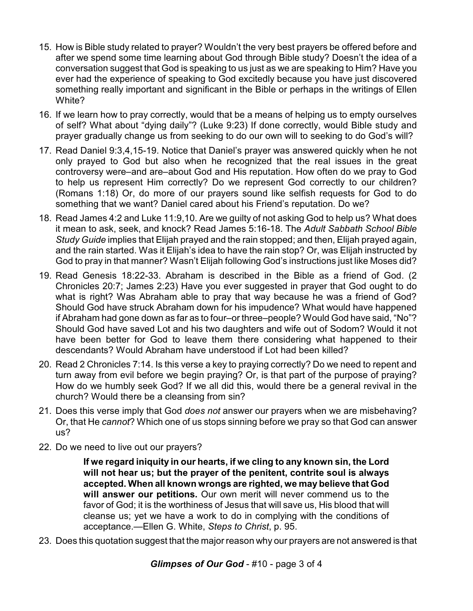- 15. How is Bible study related to prayer? Wouldn't the very best prayers be offered before and after we spend some time learning about God through Bible study? Doesn't the idea of a conversation suggest that God is speaking to us just as we are speaking to Him? Have you ever had the experience of speaking to God excitedly because you have just discovered something really important and significant in the Bible or perhaps in the writings of Ellen White?
- 16. If we learn how to pray correctly, would that be a means of helping us to empty ourselves of self? What about "dying daily"? (Luke 9:23) If done correctly, would Bible study and prayer gradually change us from seeking to do our own will to seeking to do God's will?
- 17. Read Daniel 9:3,4,15-19. Notice that Daniel's prayer was answered quickly when he not only prayed to God but also when he recognized that the real issues in the great controversy were–and are–about God and His reputation. How often do we pray to God to help us represent Him correctly? Do we represent God correctly to our children? (Romans 1:18) Or, do more of our prayers sound like selfish requests for God to do something that we want? Daniel cared about his Friend's reputation. Do we?
- 18. Read James 4:2 and Luke 11:9,10. Are we guilty of not asking God to help us? What does it mean to ask, seek, and knock? Read James 5:16-18. The *Adult Sabbath School Bible Study Guide* implies that Elijah prayed and the rain stopped; and then, Elijah prayed again, and the rain started. Was it Elijah's idea to have the rain stop? Or, was Elijah instructed by God to pray in that manner? Wasn't Elijah following God's instructions just like Moses did?
- 19. Read Genesis 18:22-33. Abraham is described in the Bible as a friend of God. (2 Chronicles 20:7; James 2:23) Have you ever suggested in prayer that God ought to do what is right? Was Abraham able to pray that way because he was a friend of God? Should God have struck Abraham down for his impudence? What would have happened if Abraham had gone down as far as to four–or three–people? Would God have said, "No"? Should God have saved Lot and his two daughters and wife out of Sodom? Would it not have been better for God to leave them there considering what happened to their descendants? Would Abraham have understood if Lot had been killed?
- 20. Read 2 Chronicles 7:14. Is this verse a key to praying correctly? Do we need to repent and turn away from evil before we begin praying? Or, is that part of the purpose of praying? How do we humbly seek God? If we all did this, would there be a general revival in the church? Would there be a cleansing from sin?
- 21. Does this verse imply that God *does not* answer our prayers when we are misbehaving? Or, that He *cannot*? Which one of us stops sinning before we pray so that God can answer us?
- 22. Do we need to live out our prayers?

**If we regard iniquity in our hearts, if we cling to any known sin, the Lord will not hear us; but the prayer of the penitent, contrite soul is always accepted. When all known wrongs are righted, we may believe that God will answer our petitions.** Our own merit will never commend us to the favor of God; it is the worthiness of Jesus that will save us, His blood that will cleanse us; yet we have a work to do in complying with the conditions of acceptance.—Ellen G. White, *Steps to Christ*, p. 95.

23. Does this quotation suggest that the major reason why our prayers are not answered is that